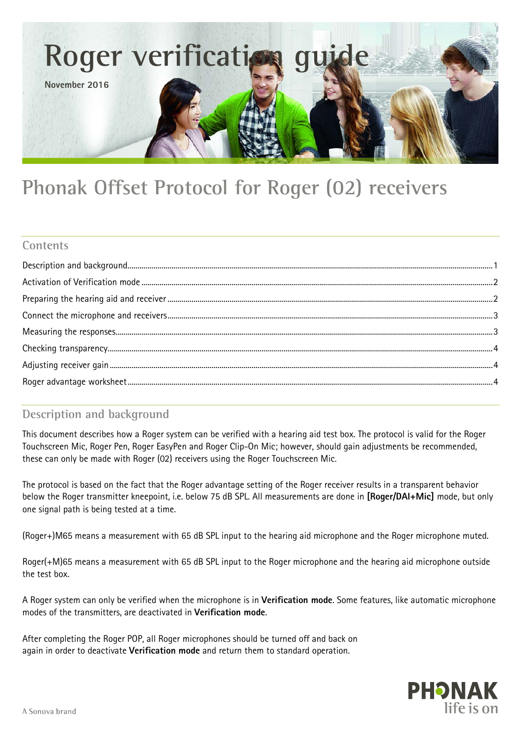

# **Phonak Offset Protocol for Roger (02) receivers**

## **Contents**

# <span id="page-0-0"></span>**Description and background**

This document describes how a Roger system can be verified with a hearing aid test box. The protocol is valid for the Roger Touchscreen Mic, Roger Pen, Roger EasyPen and Roger Clip-On Mic; however, should gain adjustments be recommended, these can only be made with Roger (02) receivers using the Roger Touchscreen Mic.

The protocol is based on the fact that the Roger advantage setting of the Roger receiver results in a transparent behavior below the Roger transmitter kneepoint, i.e. below 75 dB SPL. All measurements are done in **[Roger/DAI+Mic]** mode, but only one signal path is being tested at a time.

(Roger+)M65 means a measurement with 65 dB SPL input to the hearing aid microphone and the Roger microphone muted.

Roger(+M)65 means a measurement with 65 dB SPL input to the Roger microphone and the hearing aid microphone outside the test box.

A Roger system can only be verified when the microphone is in **Verification mode**. Some features, like automatic microphone modes of the transmitters, are deactivated in **Verification mode**.

After completing the Roger POP, all Roger microphones should be turned off and back on again in order to deactivate **Verification mode** and return them to standard operation.

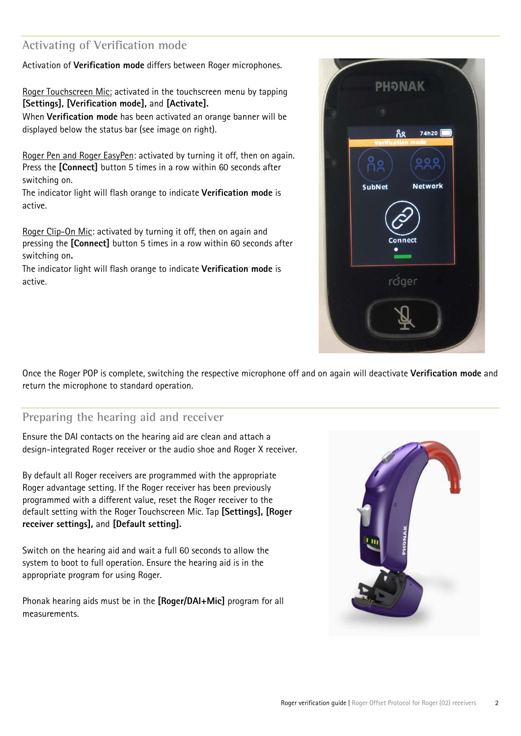# <span id="page-1-0"></span>**Activating of Verification mode**

Activation of **Verification mode** differs between Roger microphones.

Roger Touchscreen Mic: activated in the touchscreen menu by tapping **[Settings], [Verification mode],** and **[Activate].** 

When **Verification mode** has been activated an orange banner will be displayed below the status bar (see image on right).

Roger Pen and Roger EasyPen: activated by turning it off, then on again. Press the **[Connect]** button 5 times in a row within 60 seconds after switching on.

The indicator light will flash orange to indicate **Verification mode** is active.

Roger Clip-On Mic: activated by turning it off, then on again and pressing the **[Connect]** button 5 times in a row within 60 seconds after switching on**.**

The indicator light will flash orange to indicate **Verification mode** is active.



Once the Roger POP is complete, switching the respective microphone off and on again will deactivate **Verification mode** and return the microphone to standard operation.

## <span id="page-1-1"></span>**Preparing the hearing aid and receiver**

Ensure the DAI contacts on the hearing aid are clean and attach a design-integrated Roger receiver or the audio shoe and Roger X receiver.

By default all Roger receivers are programmed with the appropriate Roger advantage setting. If the Roger receiver has been previously programmed with a different value, reset the Roger receiver to the default setting with the Roger Touchscreen Mic. Tap **[Settings], [Roger receiver settings],** and **[Default setting].**

Switch on the hearing aid and wait a full 60 seconds to allow the system to boot to full operation. Ensure the hearing aid is in the appropriate program for using Roger.

Phonak hearing aids must be in the **[Roger/DAI+Mic]** program for all measurements.

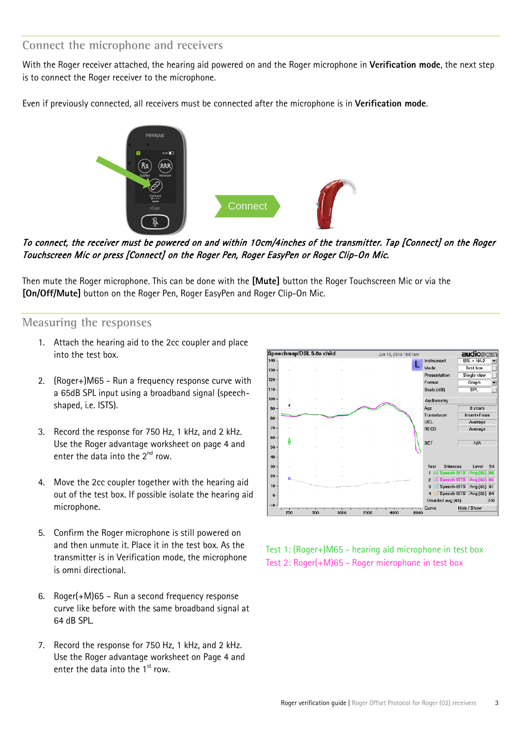### <span id="page-2-0"></span>**Connect the microphone and receivers**

With the Roger receiver attached, the hearing aid powered on and the Roger microphone in **Verification mode**, the next step is to connect the Roger receiver to the microphone.

Even if previously connected, all receivers must be connected after the microphone is in **Verification mode**.



To connect, the receiver must be powered on and within 10cm/4inches of the transmitter. Tap [Connect] on the Roger Touchscreen Mic or press [Connect] on the Roger Pen, Roger EasyPen or Roger Clip-On Mic.

Then mute the Roger microphone. This can be done with the **[Mute]** button the Roger Touchscreen Mic or via the **[On/Off/Mute]** button on the Roger Pen, Roger EasyPen and Roger Clip-On Mic.

#### <span id="page-2-1"></span>**Measuring the responses**

- 1. Attach the hearing aid to the 2cc coupler and place into the test box.
- 2. (Roger+)M65 Run a frequency response curve with a 65dB SPL input using a broadband signal (speechshaped, i.e. ISTS).
- 3. Record the response for 750 Hz, 1 kHz, and 2 kHz. Use the Roger advantage worksheet on page 4 and enter the data into the  $2^{nd}$  row.
- 4. Move the 2cc coupler together with the hearing aid out of the test box. If possible isolate the hearing aid microphone.
- 5. Confirm the Roger microphone is still powered on and then unmute it. Place it in the test box. As the transmitter is in Verification mode, the microphone is omni directional.
- 6. Roger(+M)65 Run a second frequency response curve like before with the same broadband signal at 64 dB SPL.
- 7. Record the response for 750 Hz, 1 kHz, and 2 kHz. Use the Roger advantage worksheet on Page 4 and enter the data into the  $1<sup>st</sup>$  row.



Test 1: (Roger+)M65 - hearing aid microphone in test box Test 2: Roger(+M)65 - Roger microphone in test box